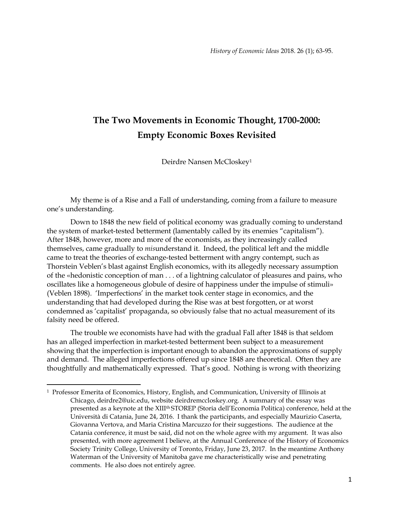# **The Two Movements in Economic Thought, 1700-2000: Empty Economic Boxes Revisited**

Deirdre Nansen McCloskey<sup>1</sup>

My theme is of a Rise and a Fall of understanding, coming from a failure to measure one's understanding.

Down to 1848 the new field of political economy was gradually coming to understand the system of market-tested betterment (lamentably called by its enemies "capitalism"). After 1848, however, more and more of the economists, as they increasingly called themselves, came gradually to *mis*understand it. Indeed, the political left and the middle came to treat the theories of exchange-tested betterment with angry contempt, such as Thorstein Veblen's blast against English economics, with its allegedly necessary assumption of the «hedonistic conception of man . . . of a lightning calculator of pleasures and pains, who oscillates like a homogeneous globule of desire of happiness under the impulse of stimuli» (Veblen 1898). 'Imperfections' in the market took center stage in economics, and the understanding that had developed during the Rise was at best forgotten, or at worst condemned as 'capitalist' propaganda, so obviously false that no actual measurement of its falsity need be offered.

The trouble we economists have had with the gradual Fall after 1848 is that seldom has an alleged imperfection in market-tested betterment been subject to a measurement showing that the imperfection is important enough to abandon the approximations of supply and demand. The alleged imperfections offered up since 1848 are theoretical. Often they are thoughtfully and mathematically expressed. That's good. Nothing is wrong with theorizing

<sup>1</sup> Professor Emerita of Economics, History, English, and Communication, University of Illinois at Chicago, deirdre2@uic.edu, website deirdremccloskey.org. A summary of the essay was presented as a keynote at the XIII<sup>th</sup> STOREP (Storia dell'Economia Politica) conference, held at the Università di Catania, June 24, 2016. I thank the participants, and especially Maurizio Caserta, Giovanna Vertova, and Maria Cristina Marcuzzo for their suggestions. The audience at the Catania conference, it must be said, did not on the whole agree with my argument. It was also presented, with more agreement I believe, at the Annual Conference of the History of Economics Society Trinity College, University of Toronto, Friday, June 23, 2017. In the meantime Anthony Waterman of the University of Manitoba gave me characteristically wise and penetrating comments. He also does not entirely agree.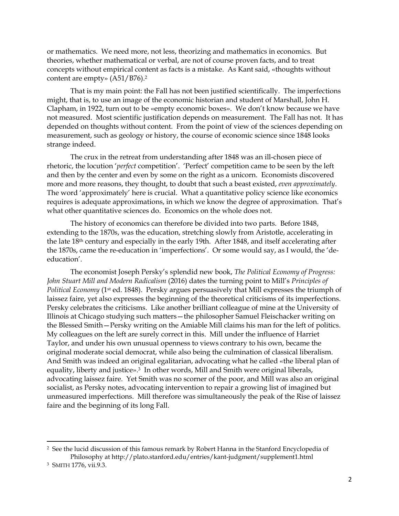or mathematics. We need more, not less, theorizing and mathematics in economics. But theories, whether mathematical or verbal, are not of course proven facts, and to treat concepts without empirical content as facts is a mistake. As Kant said, «thoughts without content are empty» (A51/B76).<sup>2</sup>

That is my main point: the Fall has not been justified scientifically. The imperfections might, that is, to use an image of the economic historian and student of Marshall, John H. Clapham, in 1922, turn out to be «empty economic boxes». We don't know because we have not measured. Most scientific justification depends on measurement. The Fall has not. It has depended on thoughts without content. From the point of view of the sciences depending on measurement, such as geology or history, the course of economic science since 1848 looks strange indeed.

The crux in the retreat from understanding after 1848 was an ill-chosen piece of rhetoric, the locution '*perfect* competition'. 'Perfect' competition came to be seen by the left and then by the center and even by some on the right as a unicorn. Economists discovered more and more reasons, they thought, to doubt that such a beast existed, *even approximately*. The word 'approximately' here is crucial. What a quantitative policy science like economics requires is adequate approximations, in which we know the degree of approximation. That's what other quantitative sciences do. Economics on the whole does not.

The history of economics can therefore be divided into two parts. Before 1848, extending to the 1870s, was the education, stretching slowly from Aristotle, accelerating in the late 18th century and especially in the early 19th. After 1848, and itself accelerating after the 1870s, came the re-education in 'imperfections'. Or some would say, as I would, the 'deeducation'.

The economist Joseph Persky's splendid new book, *The Political Economy of Progress: John Stuart Mill and Modern Radicalism* (2016) dates the turning point to Mill's *Principles of Political Economy* (1st ed. 1848). Persky argues persuasively that Mill expresses the triumph of laissez faire, yet also expresses the beginning of the theoretical criticisms of its imperfections. Persky celebrates the criticisms. Like another brilliant colleague of mine at the University of Illinois at Chicago studying such matters—the philosopher Samuel Fleischacker writing on the Blessed Smith—Persky writing on the Amiable Mill claims his man for the left of politics. My colleagues on the left are surely correct in this. Mill under the influence of Harriet Taylor, and under his own unusual openness to views contrary to his own, became the original moderate social democrat, while also being the culmination of classical liberalism. And Smith was indeed an original egalitarian, advocating what he called «the liberal plan of equality, liberty and justice».<sup>3</sup> In other words, Mill and Smith were original liberals, advocating laissez faire. Yet Smith was no scorner of the poor, and Mill was also an original socialist, as Persky notes, advocating intervention to repair a growing list of imagined but unmeasured imperfections. Mill therefore was simultaneously the peak of the Rise of laissez faire and the beginning of its long Fall.

<sup>2</sup> See the lucid discussion of this famous remark by Robert Hanna in the Stanford Encyclopedia of Philosophy at http://plato.stanford.edu/entries/kant-judgment/supplement1.html

<sup>3</sup> SMITH 1776, vii.9.3.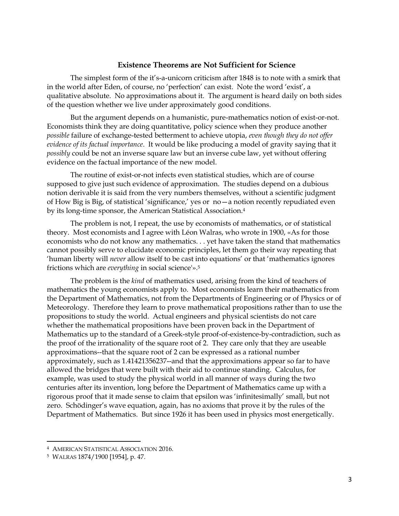### **Existence Theorems are Not Sufficient for Science**

The simplest form of the it's-a-unicorn criticism after 1848 is to note with a smirk that in the world after Eden, of course, no 'perfection' can exist. Note the word 'exist', a qualitative absolute. No approximations about it. The argument is heard daily on both sides of the question whether we live under approximately good conditions.

But the argument depends on a humanistic, pure-mathematics notion of exist-or-not. Economists think they are doing quantitative, policy science when they produce another *possible* failure of exchange-tested betterment to achieve utopia, *even though they do not offer evidence of its factual importance*. It would be like producing a model of gravity saying that it *possibly* could be not an inverse square law but an inverse cube law, yet without offering evidence on the factual importance of the new model.

The routine of exist-or-not infects even statistical studies, which are of course supposed to give just such evidence of approximation. The studies depend on a dubious notion derivable it is said from the very numbers themselves, without a scientific judgment of How Big is Big, of statistical 'significance,' yes or no—a notion recently repudiated even by its long-time sponsor, the American Statistical Association.<sup>4</sup>

The problem is not, I repeat, the use by economists of mathematics, or of statistical theory. Most economists and I agree with Léon Walras, who wrote in 1900, «As for those economists who do not know any mathematics. . . yet have taken the stand that mathematics cannot possibly serve to elucidate economic principles, let them go their way repeating that 'human liberty will *never* allow itself to be cast into equations' or that 'mathematics ignores frictions which are *everything* in social science'».<sup>5</sup>

The problem is the *kind* of mathematics used, arising from the kind of teachers of mathematics the young economists apply to. Most economists learn their mathematics from the Department of Mathematics, not from the Departments of Engineering or of Physics or of Meteorology. Therefore they learn to prove mathematical propositions rather than to use the propositions to study the world. Actual engineers and physical scientists do not care whether the mathematical propositions have been proven back in the Department of Mathematics up to the standard of a Greek-style proof-of-existence-by-contradiction, such as the proof of the irrationality of the square root of 2. They care only that they are useable approximations--that the square root of 2 can be expressed as a rational number approximately, such as 1.41421356237--and that the approximations appear so far to have allowed the bridges that were built with their aid to continue standing. Calculus, for example, was used to study the physical world in all manner of ways during the two centuries after its invention, long before the Department of Mathematics came up with a rigorous proof that it made sense to claim that epsilon was 'infinitesimally' small, but not zero. Schödinger's wave equation, again, has no axioms that prove it by the rules of the Department of Mathematics. But since 1926 it has been used in physics most energetically.

<sup>4</sup> AMERICAN STATISTICAL ASSOCIATION 2016.

<sup>5</sup> WALRAS 1874/1900 [1954], p. 47.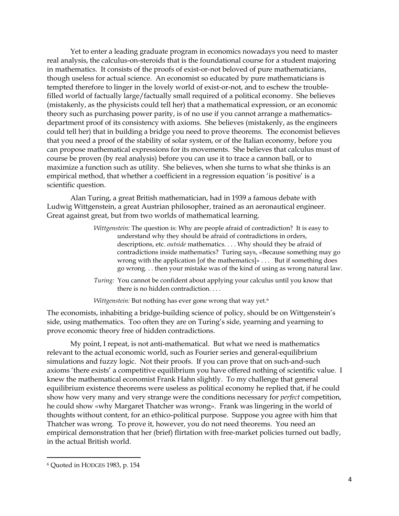Yet to enter a leading graduate program in economics nowadays you need to master real analysis, the calculus-on-steroids that is the foundational course for a student majoring in mathematics. It consists of the proofs of exist-or-not beloved of pure mathematicians, though useless for actual science. An economist so educated by pure mathematicians is tempted therefore to linger in the lovely world of exist-or-not, and to eschew the troublefilled world of factually large/factually small required of a political economy. She believes (mistakenly, as the physicists could tell her) that a mathematical expression, or an economic theory such as purchasing power parity, is of no use if you cannot arrange a mathematicsdepartment proof of its consistency with axioms. She believes (mistakenly, as the engineers could tell her) that in building a bridge you need to prove theorems. The economist believes that you need a proof of the stability of solar system, or of the Italian economy, before you can propose mathematical expressions for its movements. She believes that calculus must of course be proven (by real analysis) before you can use it to trace a cannon ball, or to maximize a function such as utility. She believes, when she turns to what she thinks is an empirical method, that whether a coefficient in a regression equation 'is positive' is a scientific question.

Alan Turing, a great British mathematician, had in 1939 a famous debate with Ludwig Wittgenstein, a great Austrian philosopher, trained as an aeronautical engineer. Great against great, but from two worlds of mathematical learning.

- *Wittgenstein:* The question is: Why are people afraid of contradiction? It is easy to understand why they should be afraid of contradictions in orders, descriptions, etc. *outside* mathematics. . . . Why should they be afraid of contradictions inside mathematics? Turing says, «Because something may go wrong with the application [of the mathematics]» . . . But if something does go wrong. . . then your mistake was of the kind of using as wrong natural law.
- *Turing:* You cannot be confident about applying your calculus until you know that there is no hidden contradiction. . . .

*Wittgenstein:* But nothing has ever gone wrong that way yet.<sup>6</sup>

The economists, inhabiting a bridge-building science of policy, should be on Wittgenstein's side, using mathematics. Too often they are on Turing's side, yearning and yearning to prove economic theory free of hidden contradictions.

My point, I repeat, is not anti-mathematical. But what we need is mathematics relevant to the actual economic world, such as Fourier series and general-equilibrium simulations and fuzzy logic. Not their proofs. If you can prove that on such-and-such axioms 'there exists' a competitive equilibrium you have offered nothing of scientific value. I knew the mathematical economist Frank Hahn slightly. To my challenge that general equilibrium existence theorems were useless as political economy he replied that, if he could show how very many and very strange were the conditions necessary for *perfect* competition, he could show «why Margaret Thatcher was wrong». Frank was lingering in the world of thoughts without content, for an ethico-political purpose. Suppose you agree with him that Thatcher was wrong. To prove it, however, you do not need theorems. You need an empirical demonstration that her (brief) flirtation with free-market policies turned out badly, in the actual British world.

<sup>6</sup> Quoted in HODGES 1983, p. 154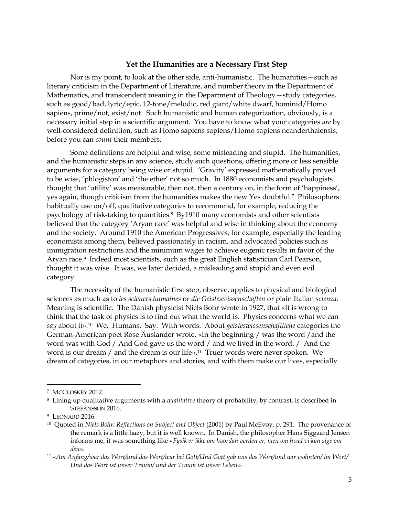#### **Yet the Humanities are a Necessary First Step**

Nor is my point, to look at the other side, anti-humanistic. The humanities—such as literary criticism in the Department of Literature, and number theory in the Department of Mathematics, and transcendent meaning in the Department of Theology—study categories, such as good/bad, lyric/epic, 12-tone/melodic, red giant/white dwarf, hominid/Homo sapiens, prime/not, exist/not. Such humanistic and human categorization, obviously, is a necessary initial step in a scientific argument. You have to know what your categories *are* by well-considered definition, such as Homo sapiens sapiens/Homo sapiens neanderthalensis, before you can *count* their members.

Some definitions are helpful and wise, some misleading and stupid. The humanities, and the humanistic steps in any science, study such questions, offering more or less sensible arguments for a category being wise or stupid. 'Gravity' expressed mathematically proved to be wise, 'phlogiston' and 'the ether' not so much. In 1880 economists and psychologists thought that 'utility' was measurable, then not, then a century on, in the form of 'happiness', yes again, though criticism from the humanities makes the new Yes doubtful.7 Philosophers habitually use on/off, qualitative categories to recommend, for example, reducing the psychology of risk-taking to quantities.8 By1910 many economists and other scientists believed that the category 'Aryan race' was helpful and wise in thinking about the economy and the society. Around 1910 the American Progressives, for example, especially the leading economists among them, believed passionately in racism, and advocated policies such as immigration restrictions and the minimum wages to achieve eugenic results in favor of the Aryan race.9 Indeed most scientists, such as the great English statistician Carl Pearson, thought it was wise. It was, we later decided, a misleading and stupid and even evil category.

The necessity of the humanistic first step, observe, applies to physical and biological sciences as much as to *les sciences humaines* or *die Geisteswissenschaften* or plain Italian *scienza.*  Meaning is scientific. The Danish physicist Niels Bohr wrote in 1927, that «It is wrong to think that the task of physics is to find out what the world is. Physics concerns what we can *say* about it».10 We. Humans. Say. With words. About *geisteswissenschaftliche* categories the German-American poet Rose Äuslander wrote, «In the beginning / was the word /and the word was with God / And God gave us the word / and we lived in the word. / And the word is our dream / and the dream is our life».<sup>11</sup> Truer words were never spoken. We dream of categories, in our metaphors and stories, and with them make our lives, especially

<sup>7</sup> MCCLOSKEY 2012.

<sup>8</sup> Lining up qualitative arguments with a *qualitative* theory of probability, by contrast, is described in STEFÁNSSON 2016.

<sup>&</sup>lt;sup>9</sup> LEONARD 2016.

<sup>10</sup> Quoted in *Niels Bohr: Reflections on Subject and Object* (2001) by Paul McEvoy, p. 291. The provenance of the remark is a little hazy, but it is well known. In Danish, the philosopher Hans Siggaard Jensen informs me, it was something like «*Fysik er ikke om hvordan verden er, men om hvad vi kan sige om den*».

<sup>11</sup> «*Am Anfang/war das Wort/und das Wort/war bei Gott/Und Gott gab uns das Wort/und wir wohnten/ im Wort/ Und das Wort ist unser Traum/ und der Traum ist unser Leben*».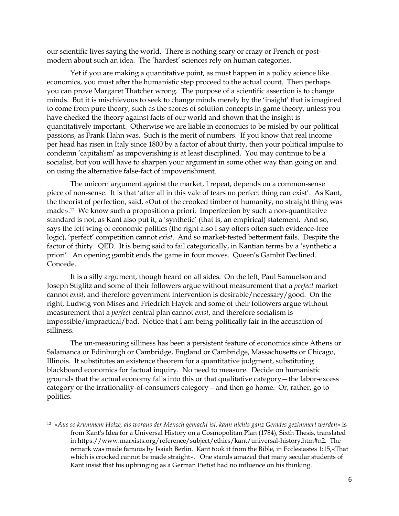our scientific lives saying the world. There is nothing scary or crazy or French or postmodern about such an idea. The 'hardest' sciences rely on human categories.

Yet if you are making a quantitative point, as must happen in a policy science like economics, you must after the humanistic step proceed to the actual count. Then perhaps you can prove Margaret Thatcher wrong. The purpose of a scientific assertion is to change minds. But it is mischievous to seek to change minds merely by the 'insight' that is imagined to come from pure theory, such as the scores of solution concepts in game theory, unless you have checked the theory against facts of our world and shown that the insight is quantitatively important. Otherwise we are liable in economics to be misled by our political passions, as Frank Hahn was. Such is the merit of numbers. If you know that real income per head has risen in Italy since 1800 by a factor of about thirty, then your political impulse to condemn 'capitalism' as impoverishing is at least disciplined. You may continue to be a socialist, but you will have to sharpen your argument in some other way than going on and on using the alternative false-fact of impoverishment.

The unicorn argument against the market, I repeat, depends on a common-sense piece of non-sense. It is that 'after all in this vale of tears no perfect thing can exist'. As Kant, the theorist of perfection, said, «Out of the crooked timber of humanity, no straight thing was made».12 We know such a proposition a priori. Imperfection by such a non-quantitative standard is not, as Kant also put it, a 'synthetic' (that is, an empirical) statement. And so, says the left wing of economic politics (the right also I say offers often such evidence-free logic), 'perfect' competition cannot *exist*. And so market-tested betterment fails. Despite the factor of thirty. QED. It is being said to fail categorically, in Kantian terms by a 'synthetic a priori'. An opening gambit ends the game in four moves. Queen's Gambit Declined. Concede.

It is a silly argument, though heard on all sides. On the left, Paul Samuelson and Joseph Stiglitz and some of their followers argue without measurement that a *perfect* market cannot *exist*, and therefore government intervention is desirable/necessary/good. On the right, Ludwig von Mises and Friedrich Hayek and some of their followers argue without measurement that a *perfect* central plan cannot *exist*, and therefore socialism is impossible/impractical/bad. Notice that I am being politically fair in the accusation of silliness.

The un-measuring silliness has been a persistent feature of economics since Athens or Salamanca or Edinburgh or Cambridge, England or Cambridge, Massachusetts or Chicago, Illinois. It substitutes an existence theorem for a quantitative judgment, substituting blackboard economics for factual inquiry. No need to measure. Decide on humanistic grounds that the actual economy falls into this or that qualitative category—the labor-excess category or the irrationality-of-consumers category—and then go home. Or, rather, go to politics.

 $\overline{\phantom{a}}$ 

<sup>12</sup> «*Aus so krummem Holze, als woraus der Mensch gemacht ist, kann nichts ganz Gerades gezimmert werden»* is from Kant's Idea for a Universal History on a Cosmopolitan Plan (1784), Sixth Thesis, translated in https://www.marxists.org/reference/subject/ethics/kant/universal-history.htm#n2. The remark was made famous by Isaiah Berlin. Kant took it from the Bible, in Ecclesiastes 1:15,«That which is crooked cannot be made straight». One stands amazed that many secular students of Kant insist that his upbringing as a German Pietist had no influence on his thinking.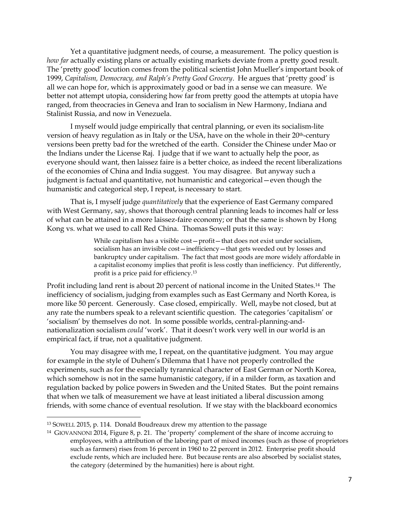Yet a quantitative judgment needs, of course, a measurement. The policy question is *how far* actually existing plans or actually existing markets deviate from a pretty good result. The 'pretty good' locution comes from the political scientist John Mueller's important book of 1999, *Capitalism, Democracy, and Ralph's Pretty Good Grocery*. He argues that 'pretty good' is all we can hope for, which is approximately good or bad in a sense we can measure. We better not attempt utopia, considering how far from pretty good the attempts at utopia have ranged, from theocracies in Geneva and Iran to socialism in New Harmony, Indiana and Stalinist Russia, and now in Venezuela.

I myself would judge empirically that central planning, or even its socialism-lite version of heavy regulation as in Italy or the USA, have on the whole in their 20<sup>th</sup>-century versions been pretty bad for the wretched of the earth. Consider the Chinese under Mao or the Indians under the License Raj. I judge that if we want to actually help the poor, as everyone should want, then laissez faire is a better choice, as indeed the recent liberalizations of the economies of China and India suggest. You may disagree. But anyway such a judgment is factual and quantitative, not humanistic and categorical—even though the humanistic and categorical step, I repeat, is necessary to start.

That is, I myself judge *quantitatively* that the experience of East Germany compared with West Germany, say, shows that thorough central planning leads to incomes half or less of what can be attained in a more laissez-faire economy; or that the same is shown by Hong Kong vs. what we used to call Red China. Thomas Sowell puts it this way:

> While capitalism has a visible cost—profit—that does not exist under socialism, socialism has an invisible cost—inefficiency—that gets weeded out by losses and bankruptcy under capitalism. The fact that most goods are more widely affordable in a capitalist economy implies that profit is less costly than inefficiency. Put differently, profit is a price paid for efficiency.<sup>13</sup>

Profit including land rent is about 20 percent of national income in the United States. <sup>14</sup> The inefficiency of socialism, judging from examples such as East Germany and North Korea, is more like 50 percent. Generously. Case closed, empirically. Well, maybe not closed, but at any rate the numbers speak to a relevant scientific question. The categories 'capitalism' or 'socialism' by themselves do not. In some possible worlds, central-planning-andnationalization socialism *could* 'work'. That it doesn't work very well in our world is an empirical fact, if true, not a qualitative judgment.

You may disagree with me, I repeat, on the quantitative judgment. You may argue for example in the style of Duhem's Dilemma that I have not properly controlled the experiments, such as for the especially tyrannical character of East German or North Korea, which somehow is not in the same humanistic category, if in a milder form, as taxation and regulation backed by police powers in Sweden and the United States. But the point remains that when we talk of measurement we have at least initiated a liberal discussion among friends, with some chance of eventual resolution. If we stay with the blackboard economics

 $\overline{\phantom{a}}$ 

<sup>13</sup> SOWELL 2015, p. 114. Donald Boudreaux drew my attention to the passage

<sup>14</sup> GIOVANNONI 2014, Figure 8, p. 21. The 'property' complement of the share of income accruing to employees, with a attribution of the laboring part of mixed incomes (such as those of proprietors such as farmers) rises from 16 percent in 1960 to 22 percent in 2012. Enterprise profit should exclude rents, which are included here. But because rents are also absorbed by socialist states, the category (determined by the humanities) here is about right.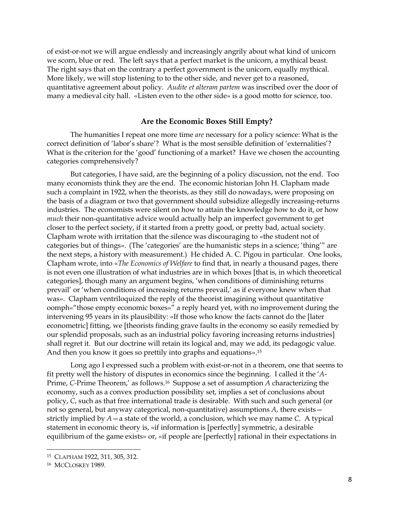of exist-or-not we will argue endlessly and increasingly angrily about what kind of unicorn we scorn, blue or red. The left says that a perfect market is the unicorn, a mythical beast. The right says that on the contrary a perfect government is the unicorn, equally mythical. More likely, we will stop listening to to the other side, and never get to a reasoned, quantitative agreement about policy. *Audite et alteram partem* was inscribed over the door of many a medieval city hall. «Listen even to the other side» is a good motto for science, too.

### **Are the Economic Boxes Still Empty?**

The humanities I repeat one more time *are* necessary for a policy science: What is the correct definition of 'labor's share'? What is the most sensible definition of 'externalities'? What is the criterion for the 'good' functioning of a market? Have we chosen the accounting categories comprehensively?

But categories, I have said, are the beginning of a policy discussion, not the end. Too many economists think they are the end. The economic historian John H. Clapham made such a complaint in 1922, when the theorists, as they still do nowadays, were proposing on the basis of a diagram or two that government should subsidize allegedly increasing-returns industries. The economists were silent on how to attain the knowledge how to do it, or how *much* their non-quantitative advice would actually help an imperfect government to get closer to the perfect society, if it started from a pretty good, or pretty bad, actual society. Clapham wrote with irritation that the silence was discouraging to «the student not of categories but of things». (The 'categories' are the humanistic steps in a science; 'thing'" are the next steps, a history with measurement.) He chided A. C. Pigou in particular. One looks, Clapham wrote, into «*The Economics of Welfare* to find that, in nearly a thousand pages, there is not even one illustration of what industries are in which boxes [that is, in which theoretical categories], though many an argument begins, 'when conditions of diminishing returns prevail' or 'when conditions of increasing returns prevail,' as if everyone knew when that was». Clapham ventriloquized the reply of the theorist imagining without quantitative oomph«"those empty economic boxes»" a reply heard yet, with no improvement during the intervening 95 years in its plausibility: «If those who know the facts cannot do the [later econometric] fitting, we [theorists finding grave faults in the economy so easily remedied by our splendid proposals, such as an industrial policy favoring increasing returns industries] shall regret it. But our doctrine will retain its logical and, may we add, its pedagogic value. And then you know it goes so prettily into graphs and equations». 15

Long ago I expressed such a problem with exist-or-not in a theorem, one that seems to fit pretty well the history of disputes in economics since the beginning. I called it the '*A*-Prime, *C-*Prime Theorem,' as follows.16 Suppose a set of assumption *A* characterizing the economy, such as a convex production possibility set, implies a set of conclusions about policy, *C*, such as that free international trade is desirable. With such and such general (or not so general, but anyway categorical, non-quantitative) assumptions *A,* there exists strictly implied by *A*—a state of the world, a conclusion, which we may name *C*. A typical statement in economic theory is, «if information is [perfectly] symmetric, a desirable equilibrium of the game exists» or, «if people are [perfectly] rational in their expectations in

<sup>15</sup> CLAPHAM 1922, 311, 305, 312.

<sup>16</sup> MCCLOSKEY 1989.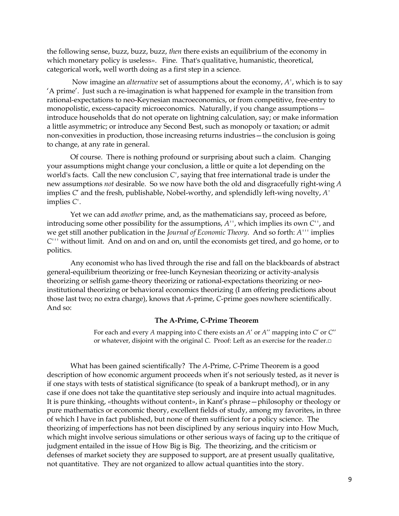the following sense, buzz, buzz, buzz, *then* there exists an equilibrium of the economy in which monetary policy is useless». Fine. That's qualitative, humanistic, theoretical, categorical work, well worth doing as a first step in a science.

Now imagine an *alternative* set of assumptions about the economy, *A'*, which is to say 'A prime'. Just such a re-imagination is what happened for example in the transition from rational-expectations to neo-Keynesian macroeconomics, or from competitive, free-entry to monopolistic, excess-capacity microeconomics. Naturally, if you change assumptions introduce households that do not operate on lightning calculation, say; or make information a little asymmetric; or introduce any Second Best, such as monopoly or taxation; or admit non-convexities in production, those increasing returns industries—the conclusion is going to change, at any rate in general.

Of course. There is nothing profound or surprising about such a claim. Changing your assumptions might change your conclusion, a little or quite a lot depending on the world's facts. Call the new conclusion *C'*, saying that free international trade is under the new assumptions *not* desirable. So we now have both the old and disgracefully right-wing *A* implies *C*' and the fresh, publishable, Nobel-worthy, and splendidly left-wing novelty, *A'* implies *C'*.

Yet we can add *another* prime, and, as the mathematicians say, proceed as before, introducing some other possibility for the assumptions, *A''*, which implies its own *C''*, and we get still another publication in the *Journal of Economic Theory*. And so forth: *A'''* implies *C'''* without limit. And on and on and on, until the economists get tired, and go home, or to politics.

Any economist who has lived through the rise and fall on the blackboards of abstract general-equilibrium theorizing or free-lunch Keynesian theorizing or activity-analysis theorizing or selfish game-theory theorizing or rational-expectations theorizing or neoinstitutional theorizing or behavioral economics theorizing (I am offering predictions about those last two; no extra charge), knows that *A*-prime, *C*-prime goes nowhere scientifically. And so:

#### **The A-Prime, C-Prime Theorem**

For each and every *A* mapping into *C* there exists an *A*' or *A*'' mapping into *C*' or *C*'' or whatever, disjoint with the original *C*. Proof: Left as an exercise for the reader.□

What has been gained scientifically? The *A*-Prime, *C*-Prime Theorem is a good description of how economic argument proceeds when it's not seriously tested, as it never is if one stays with tests of statistical significance (to speak of a bankrupt method), or in any case if one does not take the quantitative step seriously and inquire into actual magnitudes. It is pure thinking, «thoughts without content», in Kant's phrase—philosophy or theology or pure mathematics or economic theory, excellent fields of study, among my favorites, in three of which I have in fact published, but none of them sufficient for a policy science. The theorizing of imperfections has not been disciplined by any serious inquiry into How Much, which might involve serious simulations or other serious ways of facing up to the critique of judgment entailed in the issue of How Big is Big. The theorizing, and the criticism or defenses of market society they are supposed to support, are at present usually qualitative, not quantitative. They are not organized to allow actual quantities into the story.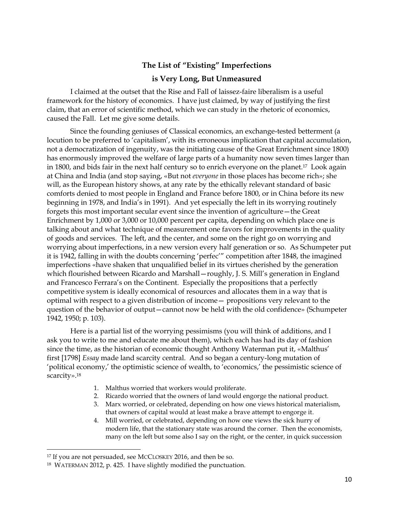### **The List of "Existing" Imperfections**

#### **is Very Long, But Unmeasured**

I claimed at the outset that the Rise and Fall of laissez-faire liberalism is a useful framework for the history of economics. I have just claimed, by way of justifying the first claim, that an error of scientific method, which we can study in the rhetoric of economics, caused the Fall. Let me give some details.

Since the founding geniuses of Classical economics, an exchange-tested betterment (a locution to be preferred to 'capitalism', with its erroneous implication that capital accumulation, not a democratization of ingenuity, was the initiating cause of the Great Enrichment since 1800) has enormously improved the welfare of large parts of a humanity now seven times larger than in 1800, and bids fair in the next half century so to enrich everyone on the planet.<sup>17</sup> Look again at China and India (and stop saying, «But not *everyone* in those places has become rich»; she will, as the European history shows, at any rate by the ethically relevant standard of basic comforts denied to most people in England and France before 1800, or in China before its new beginning in 1978, and India's in 1991). And yet especially the left in its worrying routinely forgets this most important secular event since the invention of agriculture—the Great Enrichment by 1,000 or 3,000 or 10,000 percent per capita, depending on which place one is talking about and what technique of measurement one favors for improvements in the quality of goods and services. The left, and the center, and some on the right go on worrying and worrying about imperfections, in a new version every half generation or so. As Schumpeter put it is 1942, falling in with the doubts concerning 'perfec'" competition after 1848, the imagined imperfections «have shaken that unqualified belief in its virtues cherished by the generation which flourished between Ricardo and Marshall—roughly, J. S. Mill's generation in England and Francesco Ferrara's on the Continent. Especially the propositions that a perfectly competitive system is ideally economical of resources and allocates them in a way that is optimal with respect to a given distribution of income— propositions very relevant to the question of the behavior of output—cannot now be held with the old confidence» (Schumpeter 1942, 1950; p. 103).

Here is a partial list of the worrying pessimisms (you will think of additions, and I ask you to write to me and educate me about them), which each has had its day of fashion since the time, as the historian of economic thought Anthony Waterman put it, «Malthus' first [1798] *Essay* made land scarcity central. And so began a century-long mutation of 'political economy,' the optimistic science of wealth, to 'economics,' the pessimistic science of scarcity».<sup>18</sup>

- 1. Malthus worried that workers would proliferate.
- 2. Ricardo worried that the owners of land would engorge the national product.
- 3. Marx worried, or celebrated, depending on how one views historical materialism, that owners of capital would at least make a brave attempt to engorge it.
- 4. Mill worried, or celebrated, depending on how one views the sick hurry of modern life, that the stationary state was around the corner. Then the economists, many on the left but some also I say on the right, or the center, in quick succession

<sup>&</sup>lt;sup>17</sup> If you are not persuaded, see MCCLOSKEY 2016, and then be so.

<sup>18</sup> WATERMAN 2012, p. 425. I have slightly modified the punctuation.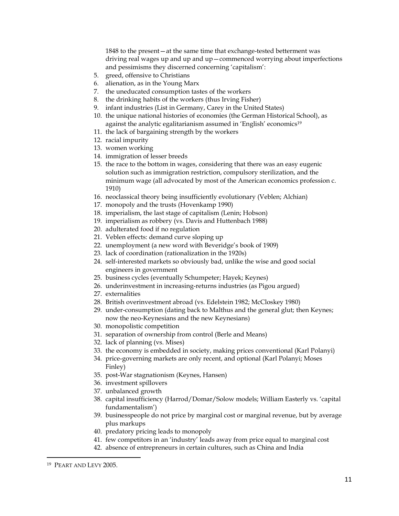1848 to the present—at the same time that exchange-tested betterment was driving real wages up and up and up—commenced worrying about imperfections and pessimisms they discerned concerning 'capitalism':

- 5. greed, offensive to Christians
- 6. alienation, as in the Young Marx
- 7. the uneducated consumption tastes of the workers
- 8. the drinking habits of the workers (thus Irving Fisher)
- 9. infant industries (List in Germany, Carey in the United States)
- 10. the unique national histories of economies (the German Historical School), as against the analytic egalitarianism assumed in 'English' economics<sup>19</sup>
- 11. the lack of bargaining strength by the workers
- 12. racial impurity
- 13. women working
- 14. immigration of lesser breeds
- 15. the race to the bottom in wages, considering that there was an easy eugenic solution such as immigration restriction, compulsory sterilization, and the minimum wage (all advocated by most of the American economics profession c. 1910)
- 16. neoclassical theory being insufficiently evolutionary (Veblen; Alchian)
- 17. monopoly and the trusts (Hovenkamp 1990)
- 18. imperialism, the last stage of capitalism (Lenin; Hobson)
- 19. imperialism as robbery (vs. Davis and Huttenbach 1988)
- 20. adulterated food if no regulation
- 21. Veblen effects: demand curve sloping up
- 22. unemployment (a new word with Beveridge's book of 1909)
- 23. lack of coordination (rationalization in the 1920s)
- 24. self-interested markets so obviously bad, unlike the wise and good social engineers in government
- 25. business cycles (eventually Schumpeter; Hayek; Keynes)
- 26. underinvestment in increasing-returns industries (as Pigou argued)
- 27. externalities
- 28. British overinvestment abroad (vs. Edelstein 1982; McCloskey 1980)
- 29. under-consumption (dating back to Malthus and the general glut; then Keynes; now the neo-Keynesians and the new Keynesians)
- 30. monopolistic competition
- 31. separation of ownership from control (Berle and Means)
- 32. lack of planning (vs. Mises)
- 33. the economy is embedded in society, making prices conventional (Karl Polanyi)
- 34. price-governing markets are only recent, and optional (Karl Polanyi; Moses Finley)
- 35. post-War stagnationism (Keynes, Hansen)
- 36. investment spillovers
- 37. unbalanced growth
- 38. capital insufficiency (Harrod/Domar/Solow models; William Easterly vs. 'capital fundamentalism')
- 39. businesspeople do not price by marginal cost or marginal revenue, but by average plus markups
- 40. predatory pricing leads to monopoly
- 41. few competitors in an 'industry' leads away from price equal to marginal cost
- 42. absence of entrepreneurs in certain cultures, such as China and India

<sup>19</sup> PEART AND LEVY 2005.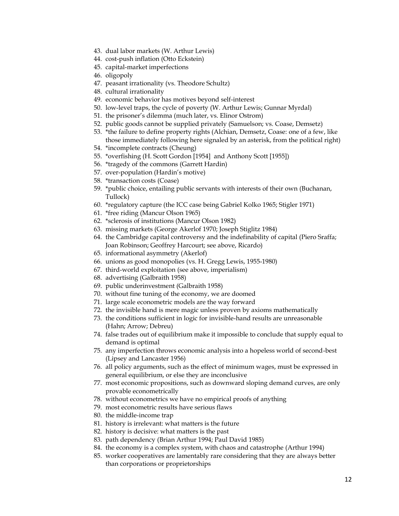- 43. dual labor markets (W. Arthur Lewis)
- 44. cost-push inflation (Otto Eckstein)
- 45. capital-market imperfections
- 46. oligopoly
- 47. peasant irrationality (vs. Theodore Schultz)
- 48. cultural irrationality
- 49. economic behavior has motives beyond self-interest
- 50. low-level traps, the cycle of poverty (W. Arthur Lewis; Gunnar Myrdal)
- 51. the prisoner's dilemma (much later, vs. Elinor Ostrom)
- 52. public goods cannot be supplied privately (Samuelson; vs. Coase, Demsetz)
- 53. \*the failure to define property rights (Alchian, Demsetz, Coase: one of a few, like those immediately following here signaled by an asterisk, from the political right)
- 54. \*incomplete contracts (Cheung)
- 55. \*overfishing (H. Scott Gordon [1954] and Anthony Scott [1955])
- 56. \*tragedy of the commons (Garrett Hardin)
- 57. over-population (Hardin's motive)
- 58. \*transaction costs (Coase)
- 59. \*public choice, entailing public servants with interests of their own (Buchanan, Tullock)
- 60. \*regulatory capture (the ICC case being Gabriel Kolko 1965; Stigler 1971)
- 61. \*free riding (Mancur Olson 1965)
- 62. \*sclerosis of institutions (Mancur Olson 1982)
- 63. missing markets (George Akerlof 1970; Joseph Stiglitz 1984)
- 64. the Cambridge capital controversy and the indefinability of capital (Piero Sraffa; Joan Robinson; Geoffrey Harcourt; see above, Ricardo)
- 65. informational asymmetry (Akerlof)
- 66. unions as good monopolies (vs. H. Gregg Lewis, 1955-1980)
- 67. third-world exploitation (see above, imperialism)
- 68. advertising (Galbraith 1958)
- 69. public underinvestment (Galbraith 1958)
- 70. without fine tuning of the economy, we are doomed
- 71. large scale econometric models are the way forward
- 72. the invisible hand is mere magic unless proven by axioms mathematically
- 73. the conditions sufficient in logic for invisible-hand results are unreasonable (Hahn; Arrow; Debreu)
- 74. false trades out of equilibrium make it impossible to conclude that supply equal to demand is optimal
- 75. any imperfection throws economic analysis into a hopeless world of second-best (Lipsey and Lancaster 1956)
- 76. all policy arguments, such as the effect of minimum wages, must be expressed in general equilibrium, or else they are inconclusive
- 77. most economic propositions, such as downward sloping demand curves, are only provable econometrically
- 78. without econometrics we have no empirical proofs of anything
- 79. most econometric results have serious flaws
- 80. the middle-income trap
- 81. history is irrelevant: what matters is the future
- 82. history is decisive: what matters is the past
- 83. path dependency (Brian Arthur 1994; Paul David 1985)
- 84. the economy is a complex system, with chaos and catastrophe (Arthur 1994)
- 85. worker cooperatives are lamentably rare considering that they are always better than corporations or proprietorships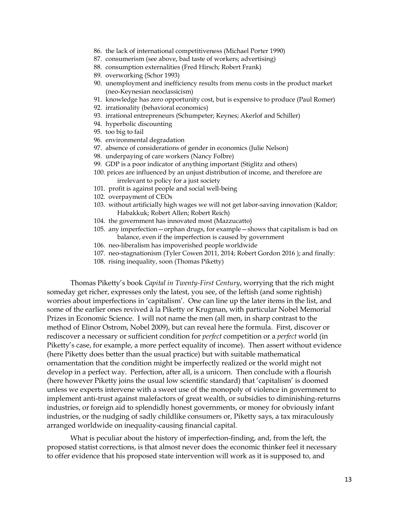- 86. the lack of international competitiveness (Michael Porter 1990)
- 87. consumerism (see above, bad taste of workers; advertising)
- 88. consumption externalities (Fred Hirsch; Robert Frank)
- 89. overworking (Schor 1993)
- 90. unemployment and inefficiency results from menu costs in the product market (neo-Keynesian neoclassicism)
- 91. knowledge has zero opportunity cost, but is expensive to produce (Paul Romer)
- 92. irrationality (behavioral economics)
- 93. irrational entrepreneurs (Schumpeter; Keynes; Akerlof and Schiller)
- 94. hyperbolic discounting
- 95. too big to fail
- 96. environmental degradation
- 97. absence of considerations of gender in economics (Julie Nelson)
- 98. underpaying of care workers (Nancy Folbre)
- 99. GDP is a poor indicator of anything important (Stiglitz and others)
- 100. prices are influenced by an unjust distribution of income, and therefore are irrelevant to policy for a just society
- 101. profit is against people and social well-being
- 102. overpayment of CEOs
- 103. without artificially high wages we will not get labor-saving innovation (Kaldor; Habakkuk; Robert Allen; Robert Reich)
- 104. the government has innovated most (Mazzucatto)
- 105. any imperfection—orphan drugs, for example—shows that capitalism is bad on balance, even if the imperfection is caused by government
- 106. neo-liberalism has impoverished people worldwide
- 107. neo-stagnationism (Tyler Cowen 2011, 2014; Robert Gordon 2016 ); and finally:
- 108. rising inequality, soon (Thomas Piketty)

Thomas Piketty's book *Capital in Twenty-First Century*, worrying that the rich might someday get richer, expresses only the latest, you see, of the leftish (and some rightish) worries about imperfections in 'capitalism'. One can line up the later items in the list, and some of the earlier ones revived à la Piketty or Krugman, with particular Nobel Memorial Prizes in Economic Science. I will not name the men (all men, in sharp contrast to the method of Elinor Ostrom, Nobel 2009), but can reveal here the formula. First, discover or rediscover a necessary or sufficient condition for *perfect* competition or a *perfect* world (in Piketty's case, for example, a more perfect equality of income). Then assert without evidence (here Piketty does better than the usual practice) but with suitable mathematical ornamentation that the condition might be imperfectly realized or the world might not develop in a perfect way. Perfection, after all, is a unicorn. Then conclude with a flourish (here however Piketty joins the usual low scientific standard) that 'capitalism' is doomed unless we experts intervene with a sweet use of the monopoly of violence in government to implement anti-trust against malefactors of great wealth, or subsidies to diminishing-returns industries, or foreign aid to splendidly honest governments, or money for obviously infant industries, or the nudging of sadly childlike consumers or, Piketty says, a tax miraculously arranged worldwide on inequality-causing financial capital.

What is peculiar about the history of imperfection-finding, and, from the left, the proposed statist corrections, is that almost never does the economic thinker feel it necessary to offer evidence that his proposed state intervention will work as it is supposed to, and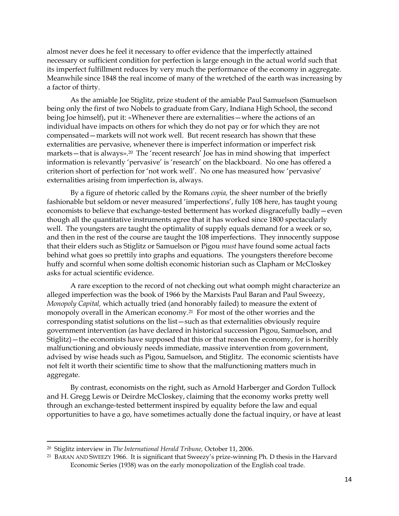almost never does he feel it necessary to offer evidence that the imperfectly attained necessary or sufficient condition for perfection is large enough in the actual world such that its imperfect fulfillment reduces by very much the performance of the economy in aggregate. Meanwhile since 1848 the real income of many of the wretched of the earth was increasing by a factor of thirty.

As the amiable Joe Stiglitz, prize student of the amiable Paul Samuelson (Samuelson being only the first of two Nobels to graduate from Gary, Indiana High School, the second being Joe himself), put it: «Whenever there are externalities—where the actions of an individual have impacts on others for which they do not pay or for which they are not compensated—markets will not work well. But recent research has shown that these externalities are pervasive, whenever there is imperfect information or imperfect risk markets—that is always». <sup>20</sup> The 'recent research' Joe has in mind showing that imperfect information is relevantly 'pervasive' is 'research' on the blackboard. No one has offered a criterion short of perfection for 'not work well'. No one has measured how 'pervasive' externalities arising from imperfection is, always.

By a figure of rhetoric called by the Romans *copia,* the sheer number of the briefly fashionable but seldom or never measured 'imperfections', fully 108 here, has taught young economists to believe that exchange-tested betterment has worked disgracefully badly—even though all the quantitative instruments agree that it has worked since 1800 spectacularly well. The youngsters are taught the optimality of supply equals demand for a week or so, and then in the rest of the course are taught the 108 imperfections. They innocently suppose that their elders such as Stiglitz or Samuelson or Pigou *must* have found some actual facts behind what goes so prettily into graphs and equations. The youngsters therefore become huffy and scornful when some doltish economic historian such as Clapham or McCloskey asks for actual scientific evidence.

A rare exception to the record of not checking out what oomph might characterize an alleged imperfection was the book of 1966 by the Marxists Paul Baran and Paul Sweezy, *Monopoly Capital,* which actually tried (and honorably failed) to measure the extent of monopoly overall in the American economy.21 For most of the other worries and the corresponding statist solutions on the list—such as that externalities obviously require government intervention (as have declared in historical succession Pigou, Samuelson, and Stiglitz)—the economists have supposed that this or that reason the economy, for is horribly malfunctioning and obviously needs immediate, massive intervention from government, advised by wise heads such as Pigou, Samuelson, and Stiglitz. The economic scientists have not felt it worth their scientific time to show that the malfunctioning matters much in aggregate.

By contrast, economists on the right, such as Arnold Harberger and Gordon Tullock and H. Gregg Lewis or Deirdre McCloskey, claiming that the economy works pretty well through an exchange-tested betterment inspired by equality before the law and equal opportunities to have a go, have sometimes actually done the factual inquiry, or have at least

<sup>20</sup> Stiglitz interview in *The International Herald Tribune,* October 11, 2006.

<sup>&</sup>lt;sup>21</sup> BARAN AND SWEEZY 1966. It is significant that Sweezy's prize-winning Ph. D thesis in the Harvard Economic Series (1938) was on the early monopolization of the English coal trade.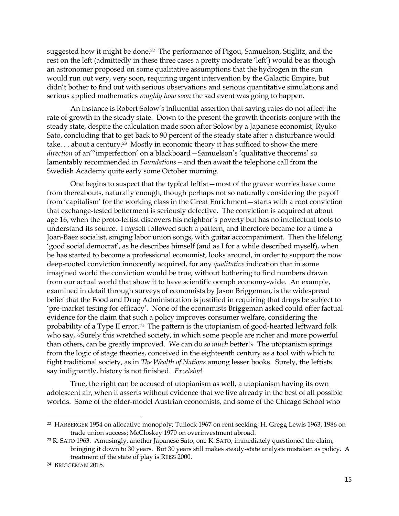suggested how it might be done.22 The performance of Pigou, Samuelson, Stiglitz, and the rest on the left (admittedly in these three cases a pretty moderate 'left') would be as though an astronomer proposed on some qualitative assumptions that the hydrogen in the sun would run out very, very soon, requiring urgent intervention by the Galactic Empire, but didn't bother to find out with serious observations and serious quantitative simulations and serious applied mathematics *roughly how soon* the sad event was going to happen.

An instance is Robert Solow's influential assertion that saving rates do not affect the rate of growth in the steady state. Down to the present the growth theorists conjure with the steady state, despite the calculation made soon after Solow by a Japanese economist, Ryuko Sato, concluding that to get back to 90 percent of the steady state after a disturbance would take. . . about a century.23 Mostly in economic theory it has sufficed to show the mere *direction* of an'"imperfection' on a blackboard—Samuelson's 'qualitative theorems' so lamentably recommended in *Foundations—*and then await the telephone call from the Swedish Academy quite early some October morning.

One begins to suspect that the typical leftist—most of the graver worries have come from thereabouts, naturally enough, though perhaps not so naturally considering the payoff from 'capitalism' for the working class in the Great Enrichment—starts with a root conviction that exchange-tested betterment is seriously defective. The conviction is acquired at about age 16, when the proto-leftist discovers his neighbor's poverty but has no intellectual tools to understand its source. I myself followed such a pattern, and therefore became for a time a Joan-Baez socialist, singing labor union songs, with guitar accompaniment. Then the lifelong 'good social democrat', as he describes himself (and as I for a while described myself), when he has started to become a professional economist, looks around, in order to support the now deep-rooted conviction innocently acquired, for any *qualitative* indication that in some imagined world the conviction would be true, without bothering to find numbers drawn from our actual world that show it to have scientific oomph economy-wide. An example, examined in detail through surveys of economists by Jason Briggeman, is the widespread belief that the Food and Drug Administration is justified in requiring that drugs be subject to 'pre-market testing for efficacy'. None of the economists Briggeman asked could offer factual evidence for the claim that such a policy improves consumer welfare, considering the probability of a Type II error.24 The pattern is the utopianism of good-hearted leftward folk who say, «Surely this wretched society, in which some people are richer and more powerful than others, can be greatly improved. We can do *so much* better!» The utopianism springs from the logic of stage theories, conceived in the eighteenth century as a tool with which to fight traditional society, as in *The Wealth of Nations* among lesser books. Surely, the leftists say indignantly, history is not finished. *Excelsior*!

True, the right can be accused of utopianism as well, a utopianism having its own adolescent air, when it asserts without evidence that we live already in the best of all possible worlds. Some of the older-model Austrian economists, and some of the Chicago School who

 $\overline{\phantom{a}}$ 

<sup>22</sup> HARBERGER 1954 on allocative monopoly; Tullock 1967 on rent seeking; H. Gregg Lewis 1963, 1986 on trade union success; McCloskey 1970 on overinvestment abroad.

<sup>&</sup>lt;sup>23</sup> R. SATO 1963. Amusingly, another Japanese Sato, one K. SATO, immediately questioned the claim, bringing it down to 30 years. But 30 years still makes steady-state analysis mistaken as policy. A treatment of the state of play is REISS 2000.

<sup>24</sup> BRIGGEMAN 2015.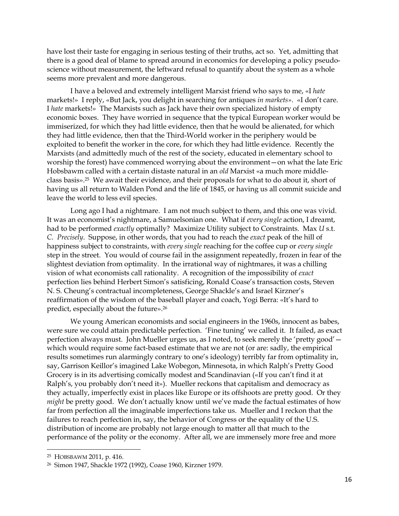have lost their taste for engaging in serious testing of their truths, act so. Yet, admitting that there is a good deal of blame to spread around in economics for developing a policy pseudoscience without measurement, the leftward refusal to quantify about the system as a whole seems more prevalent and more dangerous.

I have a beloved and extremely intelligent Marxist friend who says to me, «I *hate* markets!» I reply, «But Jack, you delight in searching for antiques *in markets»*. «I don't care. I *hate* markets!» The Marxists such as Jack have their own specialized history of empty economic boxes. They have worried in sequence that the typical European worker would be immiserized, for which they had little evidence, then that he would be alienated, for which they had little evidence, then that the Third-World worker in the periphery would be exploited to benefit the worker in the core, for which they had little evidence. Recently the Marxists (and admittedly much of the rest of the society, educated in elementary school to worship the forest) have commenced worrying about the environment—on what the late Eric Hobsbawm called with a certain distaste natural in an *old* Marxist «a much more middleclass basis».25 We await their evidence, and their proposals for what to do about it, short of having us all return to Walden Pond and the life of 1845, or having us all commit suicide and leave the world to less evil species.

Long ago I had a nightmare. I am not much subject to them, and this one was vivid. It was an economist's nightmare, a Samuelsonian one. What if *every single* action, I dreamt, had to be performed *exactly* optimally? Maximize Utility subject to Constraints. Max *U* s.t. *C*. *Precisely*. Suppose, in other words, that you had to reach the *exact* peak of the hill of happiness subject to constraints, with *every single* reaching for the coffee cup or *every single* step in the street. You would of course fail in the assignment repeatedly, frozen in fear of the slightest deviation from optimality. In the irrational way of nightmares, it was a chilling vision of what economists call rationality. A recognition of the impossibility of *exact* perfection lies behind Herbert Simon's satisficing, Ronald Coase's transaction costs, Steven N. S. Cheung's contractual incompleteness, George Shackle's and Israel Kirzner's reaffirmation of the wisdom of the baseball player and coach, Yogi Berra: «It's hard to predict, especially about the future». 26

We young American economists and social engineers in the 1960s, innocent as babes, were sure we could attain predictable perfection. 'Fine tuning' we called it. It failed, as exact perfection always must. John Mueller urges us, as I noted, to seek merely the 'pretty good' which would require some fact-based estimate that we are not (or are: sadly, the empirical results sometimes run alarmingly contrary to one's ideology) terribly far from optimality in, say, Garrison Keillor's imagined Lake Wobegon, Minnesota, in which Ralph's Pretty Good Grocery is in its advertising comically modest and Scandinavian («If you can't find it at Ralph's, you probably don't need it»). Mueller reckons that capitalism and democracy as they actually, imperfectly exist in places like Europe or its offshoots are pretty good. Or they *might* be pretty good. We don't actually know until we've made the factual estimates of how far from perfection all the imaginable imperfections take us. Mueller and I reckon that the failures to reach perfection in, say, the behavior of Congress or the equality of the U.S. distribution of income are probably not large enough to matter all that much to the performance of the polity or the economy. After all, we are immensely more free and more

<sup>25</sup> HOBSBAWM 2011, p. 416.

<sup>26</sup> Simon 1947, Shackle 1972 (1992), Coase 1960, Kirzner 1979.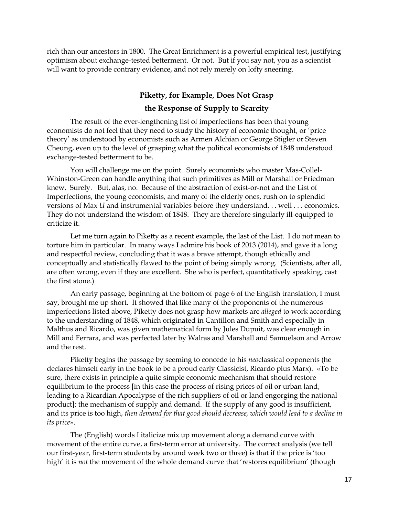rich than our ancestors in 1800. The Great Enrichment is a powerful empirical test, justifying optimism about exchange-tested betterment. Or not. But if you say not, you as a scientist will want to provide contrary evidence, and not rely merely on lofty sneering.

## **Piketty, for Example, Does Not Grasp the Response of Supply to Scarcity**

The result of the ever-lengthening list of imperfections has been that young economists do not feel that they need to study the history of economic thought, or 'price theory' as understood by economists such as Armen Alchian or George Stigler or Steven Cheung, even up to the level of grasping what the political economists of 1848 understood exchange-tested betterment to be.

You will challenge me on the point. Surely economists who master Mas-Collel-Whinston-Green can handle anything that such primitives as Mill or Marshall or Friedman knew. Surely. But, alas, no. Because of the abstraction of exist-or-not and the List of Imperfections, the young economists, and many of the elderly ones, rush on to splendid versions of Max *U* and instrumental variables before they understand. . . well . . . economics. They do not understand the wisdom of 1848. They are therefore singularly ill-equipped to criticize it.

Let me turn again to Piketty as a recent example, the last of the List. I do not mean to torture him in particular. In many ways I admire his book of 2013 (2014), and gave it a long and respectful review, concluding that it was a brave attempt, though ethically and conceptually and statistically flawed to the point of being simply wrong. (Scientists, after all, are often wrong, even if they are excellent. She who is perfect, quantitatively speaking, cast the first stone.)

An early passage, beginning at the bottom of page 6 of the English translation, I must say, brought me up short. It showed that like many of the proponents of the numerous imperfections listed above, Piketty does not grasp how markets are *alleged* to work according to the understanding of 1848, which originated in Cantillon and Smith and especially in Malthus and Ricardo, was given mathematical form by Jules Dupuit, was clear enough in Mill and Ferrara, and was perfected later by Walras and Marshall and Samuelson and Arrow and the rest.

Piketty begins the passage by seeming to concede to his *neo*classical opponents (he declares himself early in the book to be a proud early Classicist, Ricardo plus Marx). «To be sure, there exists in principle a quite simple economic mechanism that should restore equilibrium to the process [in this case the process of rising prices of oil or urban land, leading to a Ricardian Apocalypse of the rich suppliers of oil or land engorging the national product]: the mechanism of supply and demand. If the supply of any good is insufficient, and its price is too high, *then demand for that good should decrease, which would lead to a decline in its price»*.

The (English) words I italicize mix up movement along a demand curve with movement of the entire curve, a first-term error at university. The correct analysis (we tell our first-year, first-term students by around week two or three) is that if the price is 'too high' it is *not* the movement of the whole demand curve that 'restores equilibrium' (though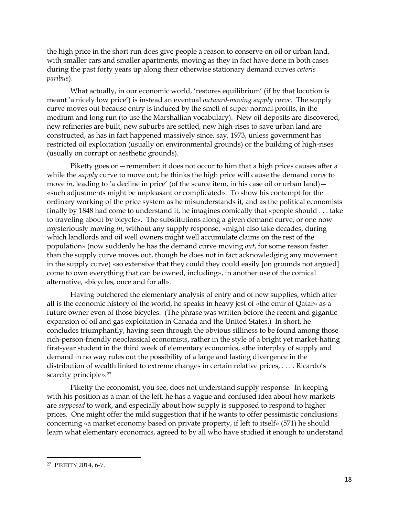the high price in the short run does give people a reason to conserve on oil or urban land, with smaller cars and smaller apartments, moving as they in fact have done in both cases during the past forty years up along their otherwise stationary demand curves *ceteris paribus*).

What actually, in our economic world, 'restores equilibrium' (if by that locution is meant 'a nicely low price') is instead an eventual *outward-moving supply curve*. The supply curve moves out because entry is induced by the smell of super-normal profits, in the medium and long run (to use the Marshallian vocabulary). New oil deposits are discovered, new refineries are built, new suburbs are settled, new high-rises to save urban land are constructed, as has in fact happened massively since, say, 1973, unless government has restricted oil exploitation (usually on environmental grounds) or the building of high-rises (usually on corrupt or aesthetic grounds).

Piketty goes on—remember: it does not occur to him that a high prices causes after a while the *supply* curve to move out; he thinks the high price will cause the demand *curve* to move *in*, leading to 'a decline in price' (of the scarce item, in his case oil or urban land) – «such adjustments might be unpleasant or complicated». To show his contempt for the ordinary working of the price system as he misunderstands it, and as the political economists finally by 1848 had come to understand it, he imagines comically that «people should . . . take to traveling about by bicycle». The substitutions along a given demand curve, or one now mysteriously moving *in*, without any supply response, «might also take decades, during which landlords and oil well owners might well accumulate claims on the rest of the population» (now suddenly he has the demand curve moving *out*, for some reason faster than the supply curve moves out, though he does not in fact acknowledging any movement in the supply curve) «so extensive that they could they could easily [on grounds not argued] come to own everything that can be owned, including», in another use of the comical alternative, «bicycles, once and for all».

Having butchered the elementary analysis of entry and of new supplies, which after all is the economic history of the world, he speaks in heavy jest of «the emir of Qatar» as a future owner even of those bicycles. (The phrase was written before the recent and gigantic expansion of oil and gas exploitation in Canada and the United States.) In short, he concludes triumphantly, having seen through the obvious silliness to be found among those rich-person-friendly neoclassical economists, rather in the style of a bright yet market-hating first-year student in the third week of elementary economics, «the interplay of supply and demand in no way rules out the possibility of a large and lasting divergence in the distribution of wealth linked to extreme changes in certain relative prices, . . . . Ricardo's scarcity principle».<sup>27</sup>

Piketty the economist, you see, does not understand supply response. In keeping with his position as a man of the left, he has a vague and confused idea about how markets are *supposed* to work, and especially about how supply is supposed to respond to higher prices. One might offer the mild suggestion that if he wants to offer pessimistic conclusions concerning «a market economy based on private property, if left to itself» (571) he should learn what elementary economics, agreed to by all who have studied it enough to understand

<sup>27</sup> PIKETTY 2014, 6-7.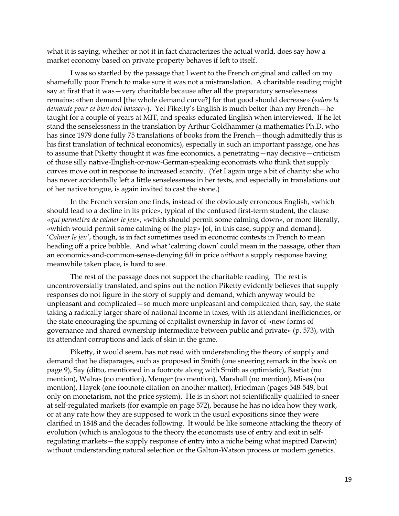what it is saying, whether or not it in fact characterizes the actual world, does say how a market economy based on private property behaves if left to itself.

I was so startled by the passage that I went to the French original and called on my shamefully poor French to make sure it was not a mistranslation. A charitable reading might say at first that it was—very charitable because after all the preparatory senselessness remains: «then demand [the whole demand curve?] for that good should decrease» («*alors la demande pour ce bien doit baisser»*). Yet Piketty's English is much better than my French—he taught for a couple of years at MIT, and speaks educated English when interviewed. If he let stand the senselessness in the translation by Arthur Goldhammer (a mathematics Ph.D. who has since 1979 done fully 75 translations of books from the French—though admittedly this is his first translation of technical economics), especially in such an important passage, one has to assume that Piketty thought it was fine economics, a penetrating—nay decisive—criticism of those silly native-English-or-now-German-speaking economists who think that supply curves move out in response to increased scarcity. (Yet I again urge a bit of charity: she who has never accidentally left a little senselessness in her texts, and especially in translations out of her native tongue, is again invited to cast the stone.)

In the French version one finds, instead of the obviously erroneous English, «which should lead to a decline in its price», typical of the confused first-term student, the clause «*qui permettra de calmer le jeu»*, «which should permit some calming down», or more literally, «which would permit some calming of the play» [of, in this case, supply and demand]. '*Calmer le jeu'*, though, is in fact sometimes used in economic contexts in French to mean heading off a price bubble. And what 'calming down' could mean in the passage, other than an economics-and-common-sense-denying *fall* in price *without* a supply response having meanwhile taken place, is hard to see.

The rest of the passage does not support the charitable reading. The rest is uncontroversially translated, and spins out the notion Piketty evidently believes that supply responses do not figure in the story of supply and demand, which anyway would be unpleasant and complicated—so much more unpleasant and complicated than, say, the state taking a radically larger share of national income in taxes, with its attendant inefficiencies, or the state encouraging the spurning of capitalist ownership in favor of «new forms of governance and shared ownership intermediate between public and private» (p. 573), with its attendant corruptions and lack of skin in the game.

Piketty, it would seem, has not read with understanding the theory of supply and demand that he disparages, such as proposed in Smith (one sneering remark in the book on page 9), Say (ditto, mentioned in a footnote along with Smith as optimistic), Bastiat (no mention), Walras (no mention), Menger (no mention), Marshall (no mention), Mises (no mention), Hayek (one footnote citation on another matter), Friedman (pages 548-549, but only on monetarism, not the price system). He is in short not scientifically qualified to sneer at self-regulated markets (for example on page 572), because he has no idea how they work, or at any rate how they are supposed to work in the usual expositions since they were clarified in 1848 and the decades following. It would be like someone attacking the theory of evolution (which is analogous to the theory the economists use of entry and exit in selfregulating markets—the supply response of entry into a niche being what inspired Darwin) without understanding natural selection or the Galton-Watson process or modern genetics.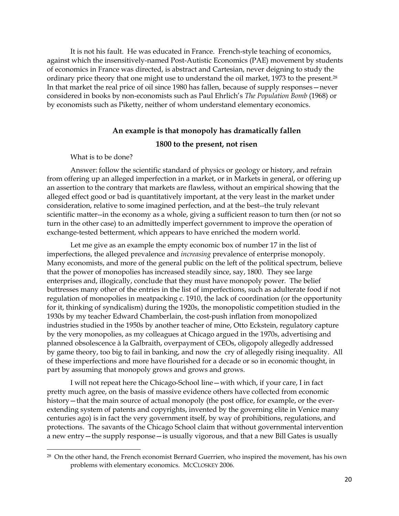It is not his fault. He was educated in France. French-style teaching of economics, against which the insensitively-named Post-Autistic Economics (PAE) movement by students of economics in France was directed, is abstract and Cartesian, never deigning to study the ordinary price theory that one might use to understand the oil market, 1973 to the present.<sup>28</sup> In that market the real price of oil since 1980 has fallen, because of supply responses—never considered in books by non-economists such as Paul Ehrlich's *The Population Bomb* (1968) or by economists such as Piketty, neither of whom understand elementary economics.

## **An example is that monopoly has dramatically fallen 1800 to the present, not risen**

What is to be done?

l

Answer: follow the scientific standard of physics or geology or history, and refrain from offering up an alleged imperfection in a market, or in Markets in general, or offering up an assertion to the contrary that markets are flawless, without an empirical showing that the alleged effect good or bad is quantitatively important, at the very least in the market under consideration, relative to some imagined perfection, and at the best--the truly relevant scientific matter--in the economy as a whole, giving a sufficient reason to turn then (or not so turn in the other case) to an admittedly imperfect government to improve the operation of exchange-tested betterment, which appears to have enriched the modern world.

Let me give as an example the empty economic box of number 17 in the list of imperfections, the alleged prevalence and *increasing* prevalence of enterprise monopoly. Many economists, and more of the general public on the left of the political spectrum, believe that the power of monopolies has increased steadily since, say, 1800. They see large enterprises and, illogically, conclude that they must have monopoly power. The belief buttresses many other of the entries in the list of imperfections, such as adulterate food if not regulation of monopolies in meatpacking c. 1910, the lack of coordination (or the opportunity for it, thinking of syndicalism) during the 1920s, the monopolistic competition studied in the 1930s by my teacher Edward Chamberlain, the cost-push inflation from monopolized industries studied in the 1950s by another teacher of mine, Otto Eckstein, regulatory capture by the very monopolies, as my colleagues at Chicago argued in the 1970s, advertising and planned obsolescence à la Galbraith, overpayment of CEOs, oligopoly allegedly addressed by game theory, too big to fail in banking, and now the cry of allegedly rising inequality. All of these imperfections and more have flourished for a decade or so in economic thought, in part by assuming that monopoly grows and grows and grows.

I will not repeat here the Chicago-School line—with which, if your care, I in fact pretty much agree, on the basis of massive evidence others have collected from economic history—that the main source of actual monopoly (the post office, for example, or the everextending system of patents and copyrights, invented by the governing elite in Venice many centuries ago) is in fact the very government itself, by way of prohibitions, regulations, and protections. The savants of the Chicago School claim that without governmental intervention a new entry—the supply response—is usually vigorous, and that a new Bill Gates is usually

 $28$  On the other hand, the French economist Bernard Guerrien, who inspired the movement, has his own problems with elementary economics. MCCLOSKEY 2006.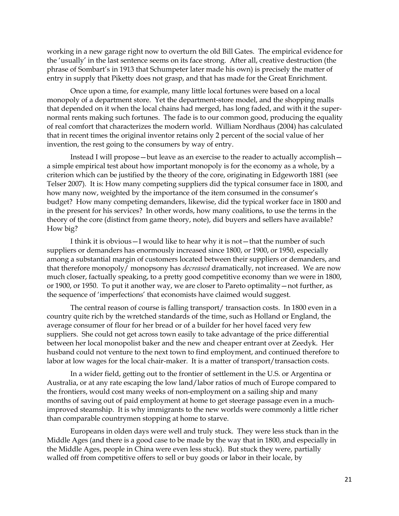working in a new garage right now to overturn the old Bill Gates. The empirical evidence for the 'usually' in the last sentence seems on its face strong. After all, creative destruction (the phrase of Sombart's in 1913 that Schumpeter later made his own) is precisely the matter of entry in supply that Piketty does not grasp, and that has made for the Great Enrichment.

Once upon a time, for example, many little local fortunes were based on a local monopoly of a department store. Yet the department-store model, and the shopping malls that depended on it when the local chains had merged, has long faded, and with it the supernormal rents making such fortunes. The fade is to our common good, producing the equality of real comfort that characterizes the modern world. William Nordhaus (2004) has calculated that in recent times the original inventor retains only 2 percent of the social value of her invention, the rest going to the consumers by way of entry.

Instead I will propose—but leave as an exercise to the reader to actually accomplish a simple empirical test about how important monopoly is for the economy as a whole, by a criterion which can be justified by the theory of the core, originating in Edgeworth 1881 (see Telser 2007). It is: How many competing suppliers did the typical consumer face in 1800, and how many now, weighted by the importance of the item consumed in the consumer's budget? How many competing demanders, likewise, did the typical worker face in 1800 and in the present for his services? In other words, how many coalitions, to use the terms in the theory of the core (distinct from game theory, note), did buyers and sellers have available? How big?

I think it is obvious—I would like to hear why it is not—that the number of such suppliers or demanders has enormously increased since 1800, or 1900, or 1950, especially among a substantial margin of customers located between their suppliers or demanders, and that therefore monopoly/ monopsony has *decreased* dramatically, not increased. We are now much closer, factually speaking, to a pretty good competitive economy than we were in 1800, or 1900, or 1950. To put it another way, we are closer to Pareto optimality—not further, as the sequence of 'imperfections' that economists have claimed would suggest.

The central reason of course is falling transport/ transaction costs. In 1800 even in a country quite rich by the wretched standards of the time, such as Holland or England, the average consumer of flour for her bread or of a builder for her hovel faced very few suppliers. She could not get across town easily to take advantage of the price differential between her local monopolist baker and the new and cheaper entrant over at Zeedyk. Her husband could not venture to the next town to find employment, and continued therefore to labor at low wages for the local chair-maker. It is a matter of transport/transaction costs.

In a wider field, getting out to the frontier of settlement in the U.S. or Argentina or Australia, or at any rate escaping the low land/labor ratios of much of Europe compared to the frontiers, would cost many weeks of non-employment on a sailing ship and many months of saving out of paid employment at home to get steerage passage even in a muchimproved steamship. It is why immigrants to the new worlds were commonly a little richer than comparable countrymen stopping at home to starve.

Europeans in olden days were well and truly stuck. They were less stuck than in the Middle Ages (and there is a good case to be made by the way that in 1800, and especially in the Middle Ages, people in China were even less stuck). But stuck they were, partially walled off from competitive offers to sell or buy goods or labor in their locale, by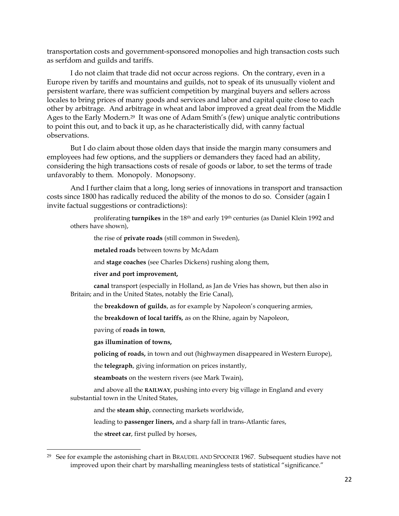transportation costs and government-sponsored monopolies and high transaction costs such as serfdom and guilds and tariffs.

I do not claim that trade did not occur across regions. On the contrary, even in a Europe riven by tariffs and mountains and guilds, not to speak of its unusually violent and persistent warfare, there was sufficient competition by marginal buyers and sellers across locales to bring prices of many goods and services and labor and capital quite close to each other by arbitrage. And arbitrage in wheat and labor improved a great deal from the Middle Ages to the Early Modern.<sup>29</sup> It was one of Adam Smith's (few) unique analytic contributions to point this out, and to back it up, as he characteristically did, with canny factual observations.

But I do claim about those olden days that inside the margin many consumers and employees had few options, and the suppliers or demanders they faced had an ability, considering the high transactions costs of resale of goods or labor, to set the terms of trade unfavorably to them. Monopoly. Monopsony.

And I further claim that a long, long series of innovations in transport and transaction costs since 1800 has radically reduced the ability of the monos to do so. Consider (again I invite factual suggestions or contradictions):

proliferating **turnpikes** in the 18th and early 19th centuries (as Daniel Klein 1992 and others have shown),

the rise of **private roads** (still common in Sweden),

**metaled roads** between towns by McAdam

and **stage coaches** (see Charles Dickens) rushing along them,

**river and port improvement,**

**canal** transport (especially in Holland, as Jan de Vries has shown, but then also in Britain; and in the United States, notably the Erie Canal),

the **breakdown of guilds**, as for example by Napoleon's conquering armies,

the **breakdown of local tariffs***,* as on the Rhine, again by Napoleon,

paving of **roads in town**,

**gas illumination of towns,**

**policing of roads,** in town and out (highwaymen disappeared in Western Europe),

the **telegraph**, giving information on prices instantly,

**steamboats** on the western rivers (see Mark Twain),

and above all the **RAILWAY**, pushing into every big village in England and every substantial town in the United States,

and the **steam ship**, connecting markets worldwide,

leading to **passenger liners,** and a sharp fall in trans-Atlantic fares,

the **street car**, first pulled by horses,

 $29$  See for example the astonishing chart in BRAUDEL AND SPOONER 1967. Subsequent studies have not improved upon their chart by marshalling meaningless tests of statistical "significance."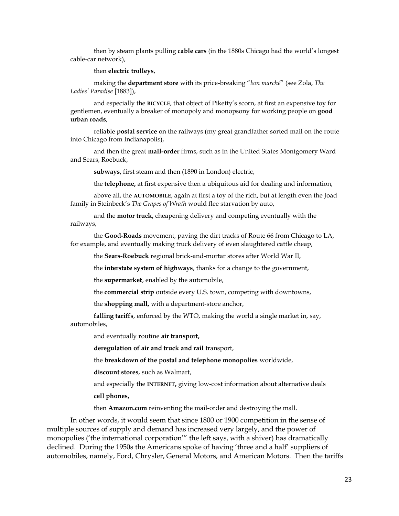then by steam plants pulling **cable cars** (in the 1880s Chicago had the world's longest cable-car network),

#### then **electric trolleys**,

making the **department store** with its price-breaking "*bon marché*" (see Zola, *The Ladies' Paradise* [1883]),

and especially the **BICYCLE**, that object of Piketty's scorn, at first an expensive toy for gentlemen, eventually a breaker of monopoly and monopsony for working people on **good urban roads**,

reliable **postal service** on the railways (my great grandfather sorted mail on the route into Chicago from Indianapolis),

and then the great **mail-order** firms, such as in the United States Montgomery Ward and Sears, Roebuck,

**subways,** first steam and then (1890 in London) electric,

the **telephone,** at first expensive then a ubiquitous aid for dealing and information,

above all, the **AUTOMOBILE**, again at first a toy of the rich, but at length even the Joad family in Steinbeck's *The Grapes of Wrath* would flee starvation by auto,

and the **motor truck,** cheapening delivery and competing eventually with the railways,

the **Good-Roads** movement, paving the dirt tracks of Route 66 from Chicago to LA, for example, and eventually making truck delivery of even slaughtered cattle cheap,

the **Sears-Roebuck** regional brick-and-mortar stores after World War II,

the **interstate system of highways**, thanks for a change to the government,

the **supermarket**, enabled by the automobile,

the **commercial strip** outside every U.S. town, competing with downtowns,

the **shopping mall,** with a department-store anchor,

**falling tariffs**, enforced by the WTO, making the world a single market in, say, automobiles,

and eventually routine **air transport,**

**deregulation of air and truck and rail** transport,

the **breakdown of the postal and telephone monopolies** worldwide,

**discount stores***,* such as Walmart,

and especially the **INTERNET,** giving low-cost information about alternative deals

**cell phones,**

then **Amazon.com** reinventing the mail-order and destroying the mall.

In other words, it would seem that since 1800 or 1900 competition in the sense of multiple sources of supply and demand has increased very largely, and the power of monopolies ('the international corporation'" the left says, with a shiver) has dramatically declined. During the 1950s the Americans spoke of having 'three and a half' suppliers of automobiles, namely, Ford, Chrysler, General Motors, and American Motors. Then the tariffs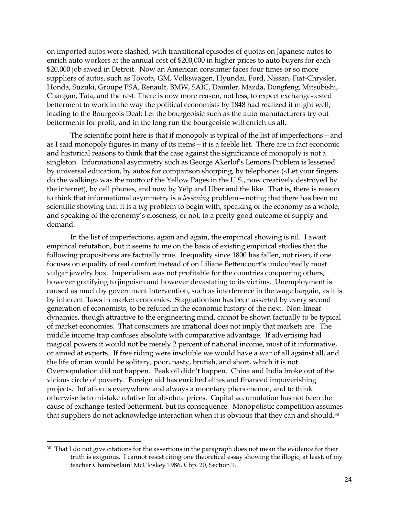on imported autos were slashed, with transitional episodes of quotas on Japanese autos to enrich auto workers at the annual cost of \$200,000 in higher prices to auto buyers for each \$20,000 job saved in Detroit. Now an American consumer faces four times or so more suppliers of autos, such as Toyota, GM, Volkswagen, Hyundai, Ford, Nissan, Fiat-Chrysler, Honda, Suzuki, Groupe PSA, Renault, BMW, SAIC, Daimler, Mazda, Dongfeng, Mitsubishi, Changan, Tata, and the rest. There is now more reason, not less, to expect exchange-tested betterment to work in the way the political economists by 1848 had realized it might well, leading to the Bourgeois Deal: Let the bourgeoisie such as the auto manufacturers try out betterments for profit, and in the long run the bourgeoisie will enrich us all.

The scientific point here is that if monopoly is typical of the list of imperfections—and as I said monopoly figures in many of its items—it is a feeble list. There are in fact economic and historical reasons to think that the case against the significance of monopoly is not a singleton. Informational asymmetry such as George Akerlof's Lemons Problem is lessened by universal education, by autos for comparison shopping, by telephones («Let your fingers do the walking» was the motto of the Yellow Pages in the U.S., now creatively destroyed by the internet), by cell phones, and now by Yelp and Uber and the like. That is, there is reason to think that informational asymmetry is a *lessening* problem—noting that there has been no scientific showing that it is a *big* problem to begin with, speaking of the economy as a whole, and speaking of the economy's closeness, or not, to a pretty good outcome of supply and demand.

In the list of imperfections, again and again, the empirical showing is nil. I await empirical refutation, but it seems to me on the basis of existing empirical studies that the following propositions are factually true. Inequality since 1800 has fallen, not risen, if one focuses on equality of real comfort instead of on Liliane Bettencourt's undoubtedly most vulgar jewelry box. Imperialism was not profitable for the countries conquering others, however gratifying to jingoism and however devastating to its victims. Unemployment is caused as much by government intervention, such as interference in the wage bargain, as it is by inherent flaws in market economies. Stagnationism has been asserted by every second generation of economists, to be refuted in the economic history of the next. Non-linear dynamics, though attractive to the engineering mind, cannot be shown factually to be typical of market economies. That consumers are irrational does not imply that markets are. The middle income trap confuses absolute with comparative advantage. If advertising had magical powers it would not be merely 2 percent of national income, most of it informative, or aimed at experts. If free riding were insoluble we would have a war of all against all, and the life of man would be solitary, poor, nasty, brutish, and short, which it is not. Overpopulation did not happen. Peak oil didn't happen. China and India broke out of the vicious circle of poverty. Foreign aid has enriched elites and financed impoverishing projects. Inflation is everywhere and always a monetary phenomenon, and to think otherwise is to mistake relative for absolute prices. Capital accumulation has not been the cause of exchange-tested betterment, but its consequence. Monopolistic competition assumes that suppliers do not acknowledge interaction when it is obvious that they can and should.<sup>30</sup>

 $30$  That I do not give citations for the assertions in the paragraph does not mean the evidence for their truth is exiguous. I cannot resist citing one theoretical essay showing the illogic, at least, of my teacher Chamberlain: McCloskey 1986, Chp. 20, Section 1.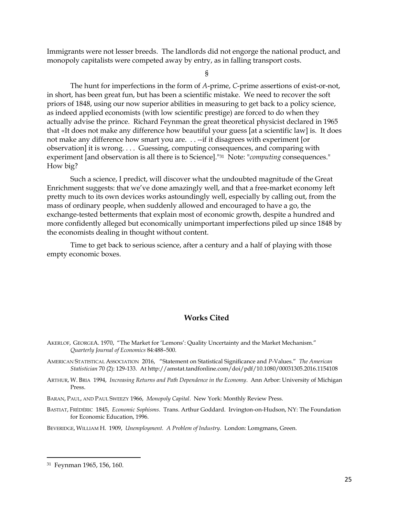Immigrants were not lesser breeds. The landlords did not engorge the national product, and monopoly capitalists were competed away by entry, as in falling transport costs.

§

The hunt for imperfections in the form of *A*-prime, *C*-prime assertions of exist-or-not, in short, has been great fun, but has been a scientific mistake. We need to recover the soft priors of 1848, using our now superior abilities in measuring to get back to a policy science, as indeed applied economists (with low scientific prestige) are forced to do when they actually advise the prince. Richard Feynman the great theoretical physicist declared in 1965 that «It does not make any difference how beautiful your guess [at a scientific law] is. It does not make any difference how smart you are. . . --if it disagrees with experiment [or observation] it is wrong. . . . Guessing, computing consequences, and comparing with experiment [and observation is all there is to Science]."31 Note: "*computing* consequences." How big?

Such a science, I predict, will discover what the undoubted magnitude of the Great Enrichment suggests: that we've done amazingly well, and that a free-market economy left pretty much to its own devices works astoundingly well, especially by calling out, from the mass of ordinary people, when suddenly allowed and encouraged to have a go, the exchange-tested betterments that explain most of economic growth, despite a hundred and more confidently alleged but economically unimportant imperfections piled up since 1848 by the economists dealing in thought without content.

Time to get back to serious science, after a century and a half of playing with those empty economic boxes.

#### **Works Cited**

AKERLOF, GEORGEA. 1970, "The Market for 'Lemons': Quality Uncertainty and the Market Mechanism." *Quarterly Journal of Economics* 84:488–500.

- AMERICAN STATISTICAL ASSOCIATION 2016, "Statement on Statistical Significance and *P*-Values." *The American Statistician* 70 (2): 129-133. At http://amstat.tandfonline.com/doi/pdf/10.1080/00031305.2016.1154108
- ARTHUR, W. BRIA 1994, *Increasing Returns and Path Dependence in the Economy*. Ann Arbor: University of Michigan Press.

BARAN, PAUL, AND PAUL SWEEZY 1966, *Monopoly Capital*. New York: Monthly Review Press.

BASTIAT, FRÉDÉRIC 1845, *Economic Sophisms*. Trans. Arthur Goddard. Irvington-on-Hudson, NY: The Foundation for Economic Education, 1996.

BEVERIDGE, WILLIAM H. 1909, *Unemployment. A Problem of Industry*. London: Lomgmans, Green.

<sup>31</sup> Feynman 1965, 156, 160.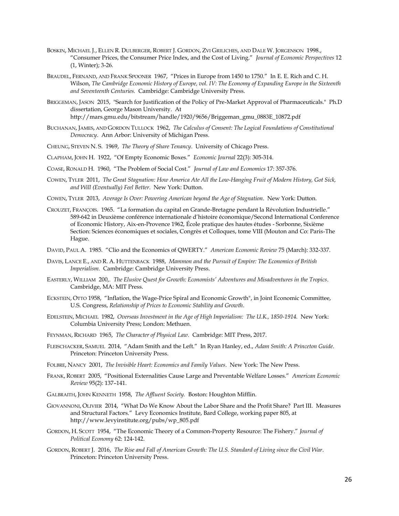- BOSKIN, MICHAEL J., ELLEN R. DULBERGER, ROBERT J. GORDON, ZVI GRILICHES, AND DALE W. JORGENSON 1998., "Consumer Prices, the Consumer Price Index, and the Cost of Living." *Journal of Economic Perspectives* 12 (1, Winter); 3-26.
- BRAUDEL, FERNAND, AND FRANK SPOONER 1967, "Prices in Europe from 1450 to 1750." In E. E. Rich and C. H. Wilson, *The Cambridge Economic History of Europe, vol. IV: The Economy of Expanding Europe in the Sixteenth and Seventeenth Centuries.* Cambridge: Cambridge University Press.
- BRIGGEMAN, JASON 2015, "Search for Justification of the Policy of Pre-Market Approval of Pharmaceuticals." Ph.D dissertation, George Mason University. At [http://mars.gmu.edu/bitstream/handle/1920/9656/Briggeman\\_gmu\\_0883E\\_10872.pdf](http://mars.gmu.edu/bitstream/handle/1920/9656/Briggeman_gmu_0883E_10872.pdf)
- BUCHANAN, JAMES, AND GORDON TULLOCK 1962, *The Calculus of Consent: The Logical Foundations of Constitutional Democracy*. Ann Arbor: University of Michigan Press*.*
- CHEUNG, STEVEN N. S. 1969, *The Theory of Share Tenancy*. University of Chicago Press.
- CLAPHAM, JOHN H. 1922, "Of Empty Economic Boxes." *Economic Journal* 22(3): 305-314.
- COASE, RONALD H. 1960, "The Problem of Social Cost." *Journal of Law and Economics* 17: 357-376.
- COWEN, TYLER 2011, *The Great Stagnation: How America Ate All the Low-Hanging Fruit of Modern History, Got Sick, and Will (Eventually) Feel Better*. New York: Dutton.
- COWEN, TYLER 2013, *Average Is Over: Powering American beyond the Age of Stagnation*. New York: Dutton.
- CROUZET, FRANÇOIS. 1965. "La formation du capital en Grande-Bretagne pendant la Révolution Industrielle." 589-642 in Deuxième conférence internationale d'histoire économique/Second International Conference of Economic History, Aix-en-Provence 1962, École pratique des hautes études - Sorbonne, Sixième Section: Sciences économiques et sociales, Congrès et Colloques, tome VIII (Mouton and Co: Paris-The Hague.
- DAVID, PAUL A. 1985. "Clio and the Economics of QWERTY." *American Economic Review* 75 (March): 332-337.
- DAVIS, LANCE E., AND R. A. HUTTENBACK 1988, *Mammon and the Pursuit of Empire: The Economics of British Imperialism.* Cambridge: Cambridge University Press.
- EASTERLY, WILLIAM 200,. *The Elusive Quest for Growth: Economists' Adventures and Misadventures in the Tropics*. Cambridge, MA: MIT Press.
- ECKSTEIN, OTTO 1958, "Inflation, the Wage-Price Spiral and Economic Growth", in Joint Economic Committee, U.S. Congress, *Relationship of Prices to Economic Stability and Growth*.
- EDELSTEIN, MICHAEL 1982, *Overseas Investment in the Age of High Imperialism: The U.K., 1850-1914.* New York: Columbia University Press; London: Methuen.
- FEYNMAN, RICHARD 1965, *The Character of Physical Law.* Cambridge: MIT Press, 2017.
- FLEISCHACKER, SAMUEL 2014, "Adam Smith and the Left." In Ryan Hanley, ed., *Adam Smith: A Princeton Guide*. Princeton: Princeton University Press.
- FOLBRE, NANCY 2001, *The Invisible Heart: Economics and Family Values*. New York: The New Press.
- FRANK, ROBERT 2005, "Positional Externalities Cause Large and Preventable Welfare Losses." *American Economic Review* 95(2): 137–141.
- GALBRAITH, JOHN KENNETH 1958, *The Affluent Society.* Boston: Houghton Mifflin.
- GIOVANNONI, OLIVIER 2014, "What Do We Know About the Labor Share and the Profit Share? Part III. Measures and Structural Factors." Levy Economics Institute, Bard College, working paper 805, at http://www.levyinstitute.org/pubs/wp\_805.pdf
- GORDON, H. SCOTT 1954, "The Economic Theory of a Common-Property Resource: The Fishery." *Journal of Political Economy* 62: 124-142.
- GORDON, ROBERT J. 2016, *The Rise and Fall of American Growth: The U.S. Standard of Living since the Civil War*. Princeton: Princeton University Press.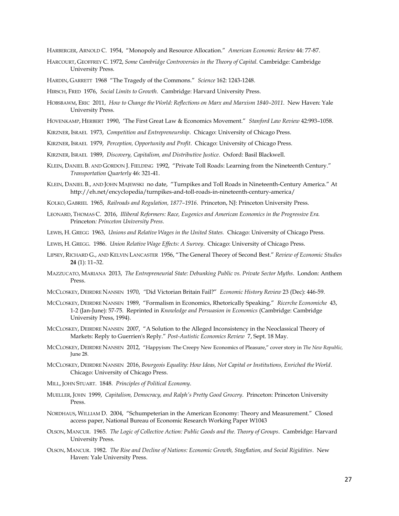HARBERGER, ARNOLD C. 1954, "Monopoly and Resource Allocation." *American Economic Review* 44: 77-87.

HARCOURT, GEOFFREY C. 1972, *Some Cambridge Controversies in the Theory of Capital.* Cambridge: Cambridge University Press.

HARDIN, GARRETT 1968 "The Tragedy of the Commons." *Science* 162: 1243-1248.

HIRSCH, FRED 1976, *Social Limits to Growth*. Cambridge: Harvard University Press.

- HOBSBAWM, ERIC 2011, *How to Change the World: Reflections on Marx and Marxism 1840–2011*. New Haven: Yale University Press.
- HOVENKAMP, HERBERT 1990, 'The First Great Law & Economics Movement." *Stanford Law Review* 42:993–1058.
- KIRZNER, ISRAEL 1973, *Competition and Entrepreneurship*. Chicago: University of Chicago Press.

KIRZNER, ISRAEL 1979, *Perception, Opportunity and Profit*. Chicago: University of Chicago Press.

- KIRZNER, ISRAEL 1989, *Discovery, Capitalism, and Distributive Justice*. Oxford: Basil Blackwell.
- KLEIN, DANIEL B. AND GORDON J. FIELDING 1992, "Private Toll Roads: Learning from the Nineteenth Century." *Transportation Quarterly* 46: 321-41.
- KLEIN, DANIEL B., AND JOHN MAJEWSKI no date, "Turnpikes and Toll Roads in Nineteenth-Century America." At http://eh.net/encyclopedia/turnpikes-and-toll-roads-in-nineteenth-century-america/
- KOLKO, GABRIEL 1965, *Railroads and Regulation, 1877–1916*. Princeton, NJ: Princeton University Press.
- LEONARD, THOMAS C. 2016, *Illiberal Reformers: Race, Eugenics and American Economics in the Progressive Era.*  Princeton*: Princeton University Press.*
- LEWIS, H. GREGG 1963, *Unions and Relative Wages in the United States.* Chicago: University of Chicago Press.
- LEWIS, H. GREGG. 1986. *Union Relative Wage Effects: A Survey*. Chicago: University of Chicago Press.
- LIPSEY, RICHARD G., AND KELVIN LANCASTER 1956, "The General Theory of Second Best." *Review of Economic Studies*  **24** (1): 11–32.
- MAZZUCATO, MARIANA 2013, *The Entrepreneurial State: Debunking Public vs. Private Sector Myths*. London: Anthem Press.
- MCCLOSKEY, DEIRDRE NANSEN 1970, *"*Did Victorian Britain Fail?" *Economic History Review* 23 (Dec): 446-59.
- MCCLOSKEY, DEIRDRE NANSEN 1989, "Formalism in Economics, Rhetorically Speaking." *Ricerche Economiche* 43, 1-2 (Jan-June): 57-75. Reprinted in *Knowledge and Persuasion in Economics* (Cambridge: Cambridge University Press, 1994).
- MCCLOSKEY, DEIRDRE NANSEN 2007, "A Solution to the Alleged Inconsistency in the Neoclassical Theory of Markets: Reply to Guerrien's Reply." *Post-Autistic Economics Review* 7, Sept. 18 May.
- MCCLOSKEY, DEIRDRE NANSEN 2012, "Happyism: The Creepy New Economics of Pleasure," cover story in *The New Republic,*  June 28.
- MCCLOSKEY, DEIRDRE NANSEN 2016, *Bourgeois Equality: How Ideas, Not Capital or Institutions, Enriched the World*. Chicago: University of Chicago Press.
- MILL, JOHN STUART. 1848. *Principles of Political Economy*.
- MUELLER, JOHN 1999, *Capitalism, Democracy, and Ralph's Pretty Good Grocery*. Princeton: Princeton University Press.
- NORDHAUS, WILLIAM D. 2004, "Schumpeterian in the American Economy: Theory and Measurement." Closed access paper, National Bureau of Economic Research Working Paper W1043
- OLSON, MANCUR. 1965. *The Logic of Collective Action: Public Goods and the. Theory of Groups*. Cambridge: Harvard University Press.
- OLSON, MANCUR. 1982. *The Rise and Decline of Nations: Economic Growth, Stagflation, and Social Rigidities*. New Haven: Yale University Press.